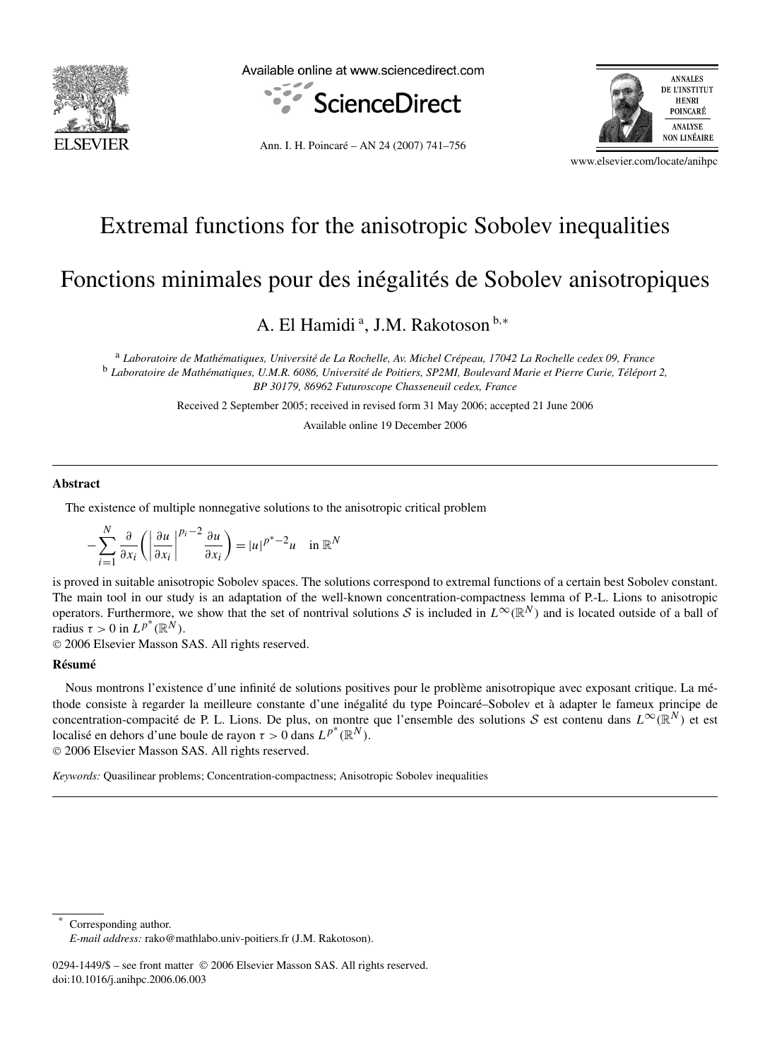

Available online at www.sciencedirect.com



Ann. I. H. Poincaré – AN 24 (2007) 741–756



www.elsevier.com/locate/anihpc

## Extremal functions for the anisotropic Sobolev inequalities

# Fonctions minimales pour des inégalités de Sobolev anisotropiques

### A. El Hamidi<sup>a</sup>, J.M. Rakotoson<sup>b,∗</sup>

<sup>a</sup> *Laboratoire de Mathématiques, Université de La Rochelle, Av. Michel Crépeau, 17042 La Rochelle cedex 09, France* <sup>b</sup> *Laboratoire de Mathématiques, U.M.R. 6086, Université de Poitiers, SP2MI, Boulevard Marie et Pierre Curie, Téléport 2, BP 30179, 86962 Futuroscope Chasseneuil cedex, France*

Received 2 September 2005; received in revised form 31 May 2006; accepted 21 June 2006

Available online 19 December 2006

#### **Abstract**

The existence of multiple nonnegative solutions to the anisotropic critical problem

$$
-\sum_{i=1}^{N} \frac{\partial}{\partial x_i} \left( \left| \frac{\partial u}{\partial x_i} \right|^{p_i - 2} \frac{\partial u}{\partial x_i} \right) = |u|^{p^* - 2} u \quad \text{in } \mathbb{R}^N
$$

is proved in suitable anisotropic Sobolev spaces. The solutions correspond to extremal functions of a certain best Sobolev constant. The main tool in our study is an adaptation of the well-known concentration-compactness lemma of P.-L. Lions to anisotropic operators. Furthermore, we show that the set of nontrival solutions S is included in  $L^{\infty}(\mathbb{R}^{N})$  and is located outside of a ball of radius  $\tau > 0$  in  $L^{p^*}(\mathbb{R}^N)$ .

© 2006 Elsevier Masson SAS. All rights reserved.

#### **Résumé**

Nous montrons l'existence d'une infinité de solutions positives pour le problème anisotropique avec exposant critique. La méthode consiste à regarder la meilleure constante d'une inégalité du type Poincaré–Sobolev et à adapter le fameux principe de concentration-compacité de P. L. Lions. De plus, on montre que l'ensemble des solutions S est contenu dans  $L^{\infty}(\mathbb{R}^{N})$  et est localisé en dehors d'une boule de rayon  $\tau > 0$  dans  $L^{p^*}(\mathbb{R}^N)$ .

© 2006 Elsevier Masson SAS. All rights reserved.

*Keywords:* Quasilinear problems; Concentration-compactness; Anisotropic Sobolev inequalities

Corresponding author.

*E-mail address:* rako@mathlabo.univ-poitiers.fr (J.M. Rakotoson).

<sup>0294-1449/\$ –</sup> see front matter © 2006 Elsevier Masson SAS. All rights reserved. doi:10.1016/j.anihpc.2006.06.003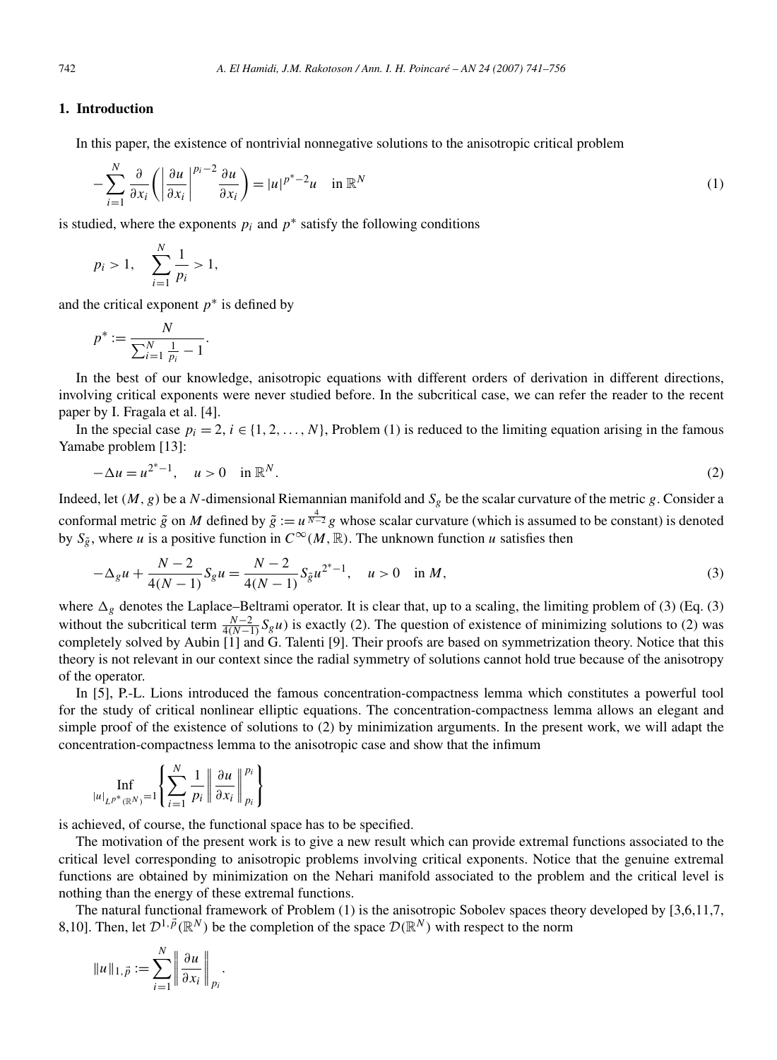#### **1. Introduction**

In this paper, the existence of nontrivial nonnegative solutions to the anisotropic critical problem

$$
-\sum_{i=1}^{N} \frac{\partial}{\partial x_i} \left( \left| \frac{\partial u}{\partial x_i} \right|^{p_i - 2} \frac{\partial u}{\partial x_i} \right) = |u|^{p^* - 2} u \quad \text{in } \mathbb{R}^N
$$
 (1)

is studied, where the exponents  $p_i$  and  $p^*$  satisfy the following conditions

$$
p_i > 1
$$
,  $\sum_{i=1}^N \frac{1}{p_i} > 1$ ,

and the critical exponent  $p^*$  is defined by

$$
p^* := \frac{N}{\sum_{i=1}^N \frac{1}{p_i} - 1}.
$$

In the best of our knowledge, anisotropic equations with different orders of derivation in different directions, involving critical exponents were never studied before. In the subcritical case, we can refer the reader to the recent paper by I. Fragala et al. [4].

In the special case  $p_i = 2$ ,  $i \in \{1, 2, ..., N\}$ , Problem (1) is reduced to the limiting equation arising in the famous Yamabe problem [13]:

$$
-\Delta u = u^{2^*-1}, \quad u > 0 \quad \text{in } \mathbb{R}^N. \tag{2}
$$

Indeed, let  $(M, g)$  be a *N*-dimensional Riemannian manifold and  $S_g$  be the scalar curvature of the metric *g*. Consider a conformal metric  $\tilde{g}$  on *M* defined by  $\tilde{g} := u^{\frac{4}{N-2}} g$  whose scalar curvature (which is assumed to be constant) is denoted by  $S_{\tilde{g}}$ , where *u* is a positive function in  $C^{\infty}(M,\mathbb{R})$ . The unknown function *u* satisfies then

$$
-\Delta_g u + \frac{N-2}{4(N-1)} S_g u = \frac{N-2}{4(N-1)} S_{\tilde{g}} u^{2^*-1}, \quad u > 0 \quad \text{in } M,
$$
\n(3)

where  $\Delta_g$  denotes the Laplace–Beltrami operator. It is clear that, up to a scaling, the limiting problem of (3) (Eq. (3) without the subcritical term  $\frac{N-2}{4(N-1)}S_gu$  is exactly (2). The question of existence of minimizing solutions to (2) was completely solved by Aubin [1] and G. Talenti [9]. Their proofs are based on symmetrization theory. Notice that this theory is not relevant in our context since the radial symmetry of solutions cannot hold true because of the anisotropy of the operator.

In [5], P.-L. Lions introduced the famous concentration-compactness lemma which constitutes a powerful tool for the study of critical nonlinear elliptic equations. The concentration-compactness lemma allows an elegant and simple proof of the existence of solutions to (2) by minimization arguments. In the present work, we will adapt the concentration-compactness lemma to the anisotropic case and show that the infimum

$$
\inf_{|u|_{L^{p^*}(\mathbb{R}^N)}=1}\left\{\sum_{i=1}^N\frac{1}{p_i}\left\|\frac{\partial u}{\partial x_i}\right\|_{p_i}^{p_i}\right\}
$$

is achieved, of course, the functional space has to be specified.

The motivation of the present work is to give a new result which can provide extremal functions associated to the critical level corresponding to anisotropic problems involving critical exponents. Notice that the genuine extremal functions are obtained by minimization on the Nehari manifold associated to the problem and the critical level is nothing than the energy of these extremal functions.

The natural functional framework of Problem (1) is the anisotropic Sobolev spaces theory developed by [3,6,11,7, 8,10]. Then, let  $\mathcal{D}^{1,\vec{p}}(\mathbb{R}^N)$  be the completion of the space  $\mathcal{D}(\mathbb{R}^N)$  with respect to the norm

$$
||u||_{1,\vec{p}} := \sum_{i=1}^N \left||\frac{\partial u}{\partial x_i}\right||_{p_i}.
$$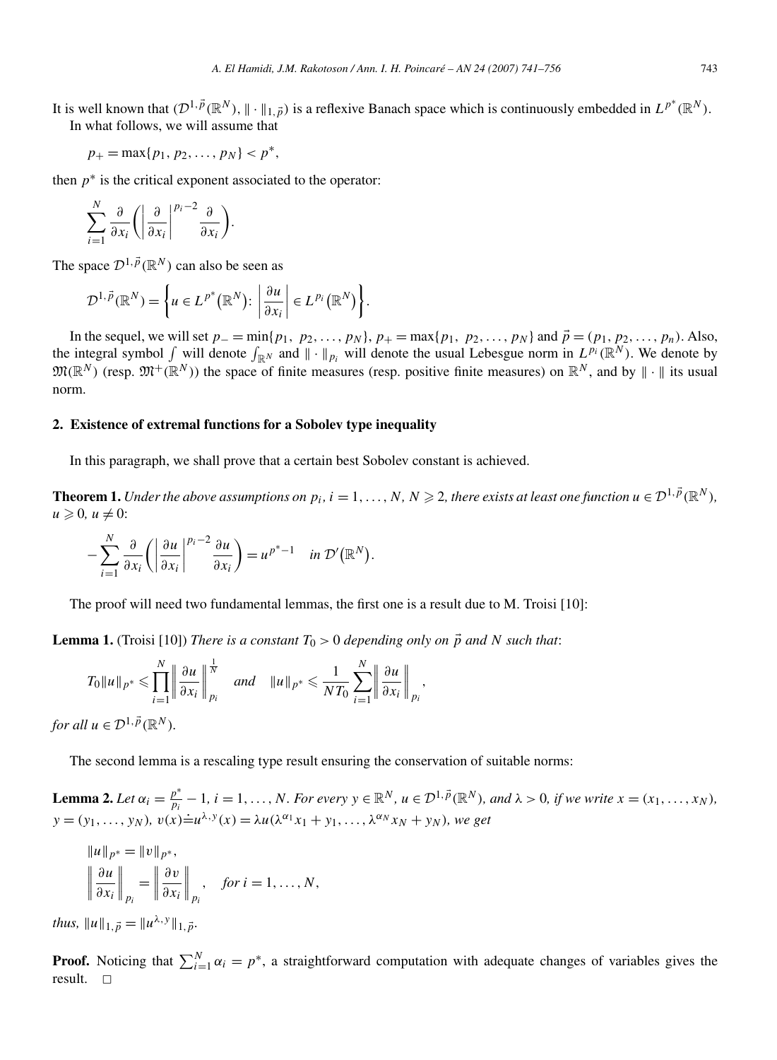It is well known that  $(D^1, \vec{p}(\mathbb{R}^N), \| \cdot \|_{1, \vec{p}})$  is a reflexive Banach space which is continuously embedded in  $L^{p^*}(\mathbb{R}^N)$ . In what follows, we will assume that

$$
p_+ = \max\{p_1, p_2, \ldots, p_N\} < p^*,
$$

then  $p^*$  is the critical exponent associated to the operator:

$$
\sum_{i=1}^N \frac{\partial}{\partial x_i} \left( \left| \frac{\partial}{\partial x_i} \right|^{p_i-2} \frac{\partial}{\partial x_i} \right).
$$

The space  $\mathcal{D}^{1,\vec{p}}(\mathbb{R}^N)$  can also be seen as

$$
\mathcal{D}^{1,\vec{p}}(\mathbb{R}^N)=\bigg\{u\in L^{p^*}(\mathbb{R}^N)\colon \bigg|\frac{\partial u}{\partial x_i}\bigg|\in L^{p_i}(\mathbb{R}^N)\bigg\}.
$$

In the sequel, we will set  $p_$  =  $min\{p_1, p_2, ..., p_N\}$ ,  $p_+ = max\{p_1, p_2, ..., p_N\}$  and  $\vec{p} = (p_1, p_2, ..., p_n)$ . Also, the integral symbol  $\int$  will denote  $\int_{\mathbb{R}^N}$  and  $\|\cdot\|_{p_i}$  will denote the usual Lebesgue norm in  $L^{p_i}(\mathbb{R}^N)$ . We denote by  $\mathfrak{M}(\mathbb{R}^N)$  (resp.  $\mathfrak{M}^+(\mathbb{R}^N)$ ) the space of finite measures (resp. positive finite measures) on  $\mathbb{R}^N$ , and by  $\|\cdot\|$  its usual norm.

#### **2. Existence of extremal functions for a Sobolev type inequality**

In this paragraph, we shall prove that a certain best Sobolev constant is achieved.

**Theorem 1.** Under the above assumptions on  $p_i$ ,  $i = 1, ..., N$ ,  $N \geq 2$ , there exists at least one function  $u \in \mathcal{D}^{1, p}(\mathbb{R}^N)$ ,  $u \geqslant 0$ ,  $u \neq 0$ :

$$
-\sum_{i=1}^N\frac{\partial}{\partial x_i}\bigg(\bigg|\frac{\partial u}{\partial x_i}\bigg|^{p_i-2}\frac{\partial u}{\partial x_i}\bigg)=u^{p^*-1}\quad\text{in }\mathcal{D}'(\mathbb{R}^N).
$$

The proof will need two fundamental lemmas, the first one is a result due to M. Troisi [10]:

**Lemma 1.** (Troisi [10]) *There is a constant*  $T_0 > 0$  *depending only on*  $\vec{p}$  *and N such that*:

$$
T_0||u||_{p^*} \leq \prod_{i=1}^N \left||\frac{\partial u}{\partial x_i}\right||_{p_i}^{\frac{1}{N}} \quad \text{and} \quad ||u||_{p^*} \leq \frac{1}{NT_0}\sum_{i=1}^N \left||\frac{\partial u}{\partial x_i}\right||_{p_i},
$$

*for all*  $u \in \mathcal{D}^{1, \vec{p}}(\mathbb{R}^N)$ *.* 

The second lemma is a rescaling type result ensuring the conservation of suitable norms:

**Lemma 2.** Let  $\alpha_i = \frac{p^*}{p_i} - 1$ ,  $i = 1, ..., N$ . For every  $y \in \mathbb{R}^N$ ,  $u \in \mathcal{D}^{1, \vec{p}}(\mathbb{R}^N)$ , and  $\lambda > 0$ , if we write  $x = (x_1, ..., x_N)$ ,  $y = (y_1, \ldots, y_N)$ *,*  $v(x) \doteq u^{\lambda, y}(x) = \lambda u(\lambda^{\alpha_1} x_1 + y_1, \ldots, \lambda^{\alpha_N} x_N + y_N)$ *, we get* 

$$
||u||_{p^*} = ||v||_{p^*},
$$
  

$$
\left\|\frac{\partial u}{\partial x_i}\right\|_{p_i} = \left\|\frac{\partial v}{\partial x_i}\right\|_{p_i}, \quad \text{for } i = 1, ..., N,
$$

*thus,*  $||u||_{1, \vec{p}} = ||u^{\lambda, y}||_{1, \vec{p}}$ .

**Proof.** Noticing that  $\sum_{i=1}^{N} \alpha_i = p^*$ , a straightforward computation with adequate changes of variables gives the result.  $\Box$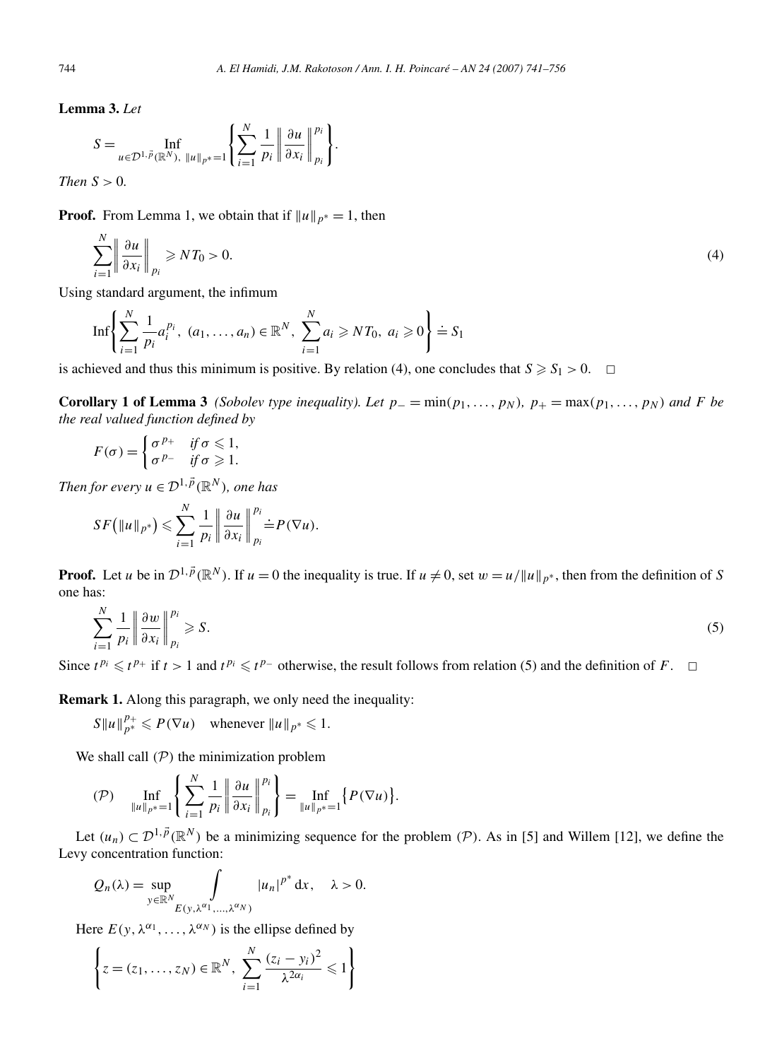**Lemma 3.** *Let*

$$
S = \inf_{u \in \mathcal{D}^{1,\vec{p}}(\mathbb{R}^N), \|u\|_{p^*} = 1} \left\{ \sum_{i=1}^N \frac{1}{p_i} \left\| \frac{\partial u}{\partial x_i} \right\|_{p_i}^{p_i} \right\}.
$$

*Then*  $S > 0$ *.* 

**Proof.** From Lemma 1, we obtain that if  $||u||_{p^*} = 1$ , then

$$
\sum_{i=1}^{N} \left\| \frac{\partial u}{\partial x_i} \right\|_{p_i} \geqslant N T_0 > 0. \tag{4}
$$

Using standard argument, the infimum

$$
\mathrm{Inf}\left\{\sum_{i=1}^{N}\frac{1}{p_i}a_i^{p_i}, (a_1,\ldots,a_n)\in\mathbb{R}^N, \sum_{i=1}^{N}a_i\geqslant NT_0, a_i\geqslant 0\right\}\doteq S_1
$$

is achieved and thus this minimum is positive. By relation (4), one concludes that  $S \ge S_1 > 0$ .  $\Box$ 

**Corollary 1 of Lemma 3** *(Sobolev type inequality). Let*  $p_-=\min(p_1,\ldots,p_N)$ ,  $p_+=\max(p_1,\ldots,p_N)$  and F be *the real valued function defined by*

$$
F(\sigma) = \begin{cases} \sigma^{p_+} & \text{if } \sigma \leq 1, \\ \sigma^{p_-} & \text{if } \sigma \geq 1. \end{cases}
$$

*Then for every*  $u \in \mathcal{D}^{1, \vec{p}}(\mathbb{R}^N)$ *, one has* 

$$
SF\left(\|u\|_{p^*}\right) \leqslant \sum_{i=1}^N \frac{1}{p_i} \left\|\frac{\partial u}{\partial x_i}\right\|_{p_i}^{p_i} \stackrel{\cdot}{=} P(\nabla u).
$$

**Proof.** Let *u* be in  $\mathcal{D}^{1,\vec{p}}(\mathbb{R}^N)$ . If  $u = 0$  the inequality is true. If  $u \neq 0$ , set  $w = u/||u||_{p^*}$ , then from the definition of *S* one has:

$$
\sum_{i=1}^{N} \frac{1}{p_i} \left\| \frac{\partial w}{\partial x_i} \right\|_{p_i}^{p_i} \geqslant S. \tag{5}
$$

Since  $t^{p_i}$  ≤  $t^{p_+}$  if  $t > 1$  and  $t^{p_i}$  ≤  $t^{p_-}$  otherwise, the result follows from relation (5) and the definition of *F*.  $\Box$ 

**Remark 1.** Along this paragraph, we only need the inequality:

 $S ||u||_{p^*}^{p^*} \le P(\nabla u)$  whenever  $||u||_{p^*} \le 1$ .

We shall call *(*P*)* the minimization problem

$$
\text{(P)} \quad \inf_{\|u\|_{p^*}=1} \left\{ \sum_{i=1}^N \frac{1}{p_i} \left\| \frac{\partial u}{\partial x_i} \right\|_{p_i}^{p_i} \right\} = \inf_{\|u\|_{p^*}=1} \left\{ P(\nabla u) \right\}.
$$

Let  $(u_n) \subset \mathcal{D}^{1,\vec{p}}(\mathbb{R}^N)$  be a minimizing sequence for the problem  $(\mathcal{P})$ . As in [5] and Willem [12], we define the Levy concentration function:

$$
Q_n(\lambda) = \sup_{y \in \mathbb{R}^N} \int_{E(y, \lambda^{\alpha_1}, \dots, \lambda^{\alpha_N})} |u_n|^{p^*} dx, \quad \lambda > 0.
$$

Here  $E(y, \lambda^{\alpha_1}, \ldots, \lambda^{\alpha_N})$  is the ellipse defined by

$$
\left\{ z = (z_1, ..., z_N) \in \mathbb{R}^N, \ \sum_{i=1}^N \frac{(z_i - y_i)^2}{\lambda^{2\alpha_i}} \leq 1 \right\}
$$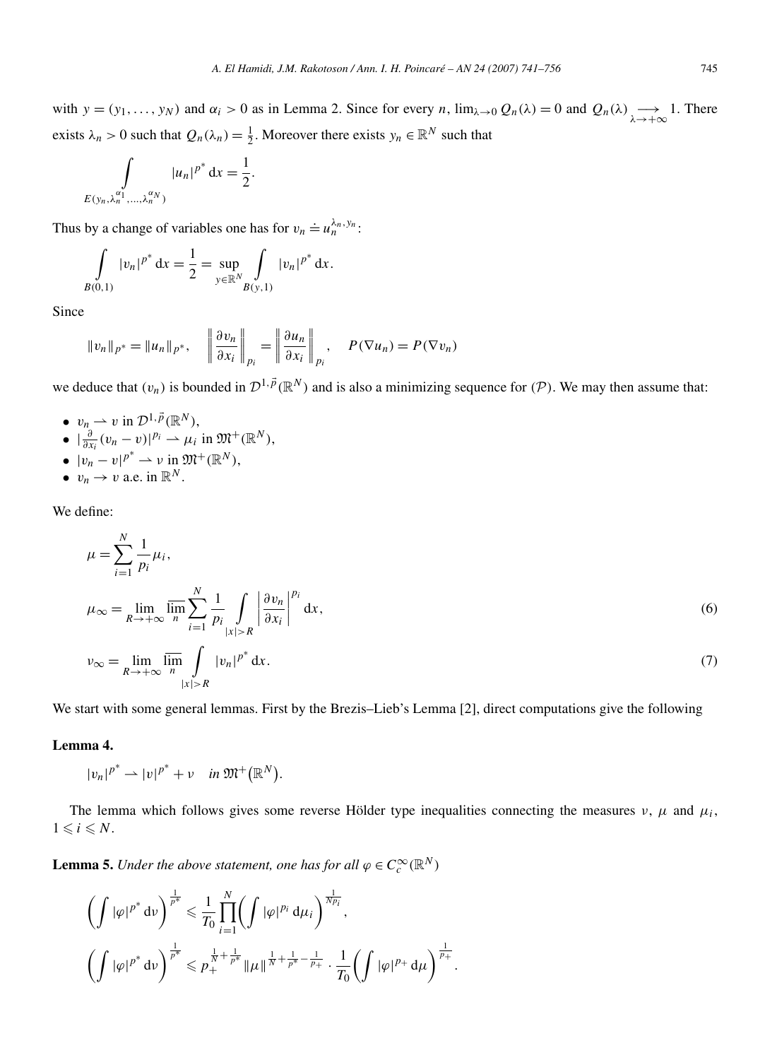with  $y = (y_1, \ldots, y_N)$  and  $\alpha_i > 0$  as in Lemma 2. Since for every *n*,  $\lim_{\lambda \to 0} Q_n(\lambda) = 0$  and  $Q_n(\lambda) \longrightarrow_{\lambda \to +\infty} 1$ . There exists  $\lambda_n > 0$  such that  $Q_n(\lambda_n) = \frac{1}{2}$ . Moreover there exists  $y_n \in \mathbb{R}^N$  such that

$$
\int_{E(y_n,\lambda_n^{\alpha_1},\ldots,\lambda_n^{\alpha_N})} |u_n|^{p^*} \, \mathrm{d}x = \frac{1}{2}.
$$

Thus by a change of variables one has for  $v_n \doteq u_n^{\lambda_n, y_n}$ :

$$
\int\limits_{B(0,1)} |v_n|^{p^*} \, \mathrm{d}x = \frac{1}{2} = \sup_{y \in \mathbb{R}^N} \int\limits_{B(y,1)} |v_n|^{p^*} \, \mathrm{d}x.
$$

Since

$$
||v_n||_{p^*} = ||u_n||_{p^*}, \quad \left\|\frac{\partial v_n}{\partial x_i}\right\|_{p_i} = \left\|\frac{\partial u_n}{\partial x_i}\right\|_{p_i}, \quad P(\nabla u_n) = P(\nabla v_n)
$$

we deduce that  $(v_n)$  is bounded in  $\mathcal{D}^{1,\vec{p}}(\mathbb{R}^N)$  and is also a minimizing sequence for  $(\mathcal{P})$ . We may then assume that:

- $v_n \rightharpoonup v$  in  $\mathcal{D}^{1,\vec{p}}(\mathbb{R}^N)$ ,
- $|\frac{\partial}{\partial x_i}(v_n v)|^{p_i} \rightharpoonup \mu_i \text{ in } \mathfrak{M}^+(\mathbb{R}^N)$ ,
- $|v_n v|^{p^*} \rightharpoonup v$  in  $\mathfrak{M}^+(\mathbb{R}^N)$ ,
- $v_n \to v$  a.e. in  $\mathbb{R}^N$ .

We define:

$$
\mu = \sum_{i=1}^{N} \frac{1}{p_i} \mu_i,
$$
\n
$$
\mu_{\infty} = \lim_{R \to +\infty} \overline{\lim_{n}} \sum_{i=1}^{N} \frac{1}{p_i} \int_{|x| > R} \left| \frac{\partial v_n}{\partial x_i} \right|^{p_i} dx,
$$
\n
$$
v_{\infty} = \lim_{R \to +\infty} \overline{\lim_{n} \int_{|x| > R} |v_n|^{p^*} dx}.
$$
\n(7)

We start with some general lemmas. First by the Brezis–Lieb's Lemma [2], direct computations give the following

#### **Lemma 4.**

 $|v_n|^{p^*} \to |v|^{p^*} + v$  *in*  $\mathfrak{M}^+(\mathbb{R}^N)$ .

The lemma which follows gives some reverse Hölder type inequalities connecting the measures  $\nu$ ,  $\mu$  and  $\mu_i$ ,  $1 \leq i \leq N$ .

**Lemma 5.** *Under the above statement, one has for all*  $\varphi \in C_c^{\infty}(\mathbb{R}^N)$ 

$$
\left(\int |\varphi|^{p^*} \, \mathrm{d} \nu\right)^{\frac{1}{p^*}} \leq \frac{1}{T_0} \prod_{i=1}^N \left(\int |\varphi|^{p_i} \, \mathrm{d} \mu_i\right)^{\frac{1}{N p_i}},
$$
\n
$$
\left(\int |\varphi|^{p^*} \, \mathrm{d} \nu\right)^{\frac{1}{p^*}} \leq p_+^{\frac{1}{N} + \frac{1}{p^*}} \|\mu\|^\frac{1}{N} + \frac{1}{p^*} - \frac{1}{p_+} \cdot \frac{1}{T_0} \left(\int |\varphi|^{p_+} \, \mathrm{d} \mu\right)^{\frac{1}{p_+}}.
$$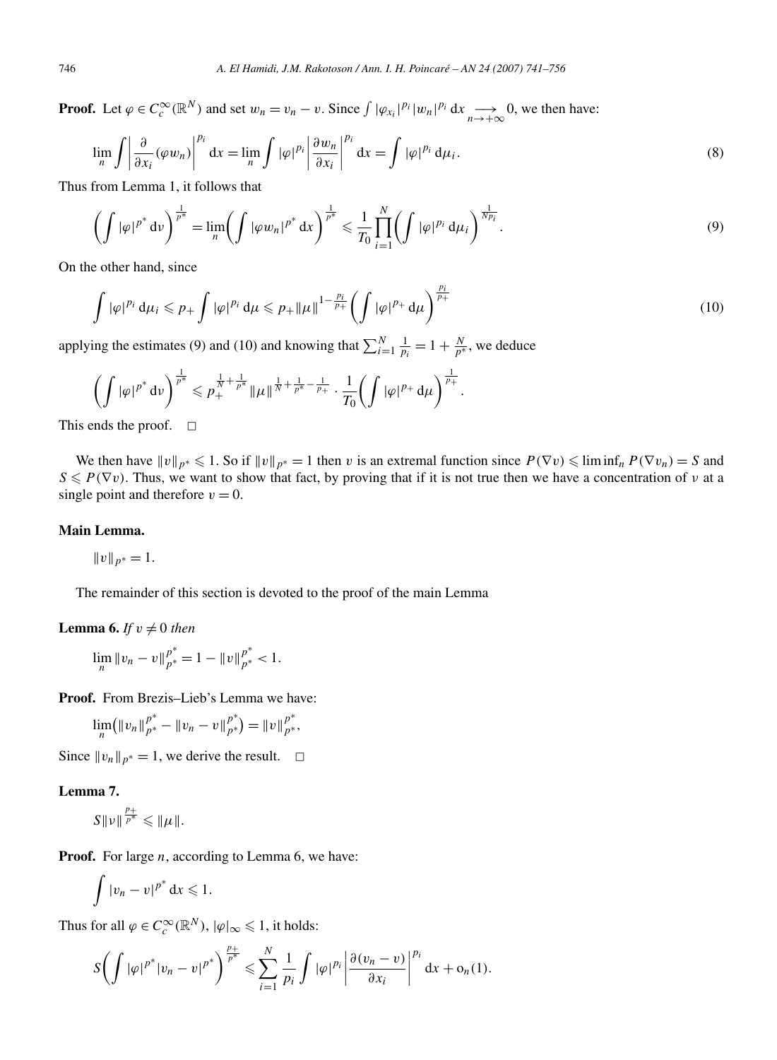**Proof.** Let  $\varphi \in C_c^{\infty}(\mathbb{R}^N)$  and set  $w_n = v_n - v$ . Since  $\int |\varphi_{x_i}|^{p_i} |w_n|^{p_i} dx \longrightarrow 0$ , we then have:

$$
\lim_{n} \int \left| \frac{\partial}{\partial x_i} (\varphi w_n) \right|^{p_i} dx = \lim_{n} \int |\varphi|^{p_i} \left| \frac{\partial w_n}{\partial x_i} \right|^{p_i} dx = \int |\varphi|^{p_i} d\mu_i.
$$
 (8)

Thus from Lemma 1, it follows that

$$
\left(\int |\varphi|^{p^*} \, \mathrm{d} \nu\right)^{\frac{1}{p^*}} = \lim_{n} \left(\int |\varphi w_n|^{p^*} \, \mathrm{d} x\right)^{\frac{1}{p^*}} \leq \frac{1}{T_0} \prod_{i=1}^N \left(\int |\varphi|^{p_i} \, \mathrm{d} \mu_i\right)^{\frac{1}{N p_i}}.
$$
\n(9)

On the other hand, since

$$
\int |\varphi|^{p_i} \, d\mu_i \leq p_+ \int |\varphi|^{p_i} \, d\mu \leq p_+ ||\mu||^{1 - \frac{p_i}{p_+}} \left( \int |\varphi|^{p_+} \, d\mu \right)^{\frac{p_i}{p_+}} \tag{10}
$$

applying the estimates (9) and (10) and knowing that  $\sum_{i=1}^{N} \frac{1}{p_i} = 1 + \frac{N}{p^*}$ , we deduce

$$
\left(\int |\varphi|^{p^*} \, \mathrm{d} v\right)^{\frac{1}{p^*}} \leqslant p_+^{\frac{1}{N}+\frac{1}{p^*}} \|\mu\|^\frac{1}{N+\frac{1}{p^*}-\frac{1}{p_+}} \cdot \frac{1}{T_0} \bigg(\int |\varphi|^{p_+} \, \mathrm{d} \mu\bigg)^{\frac{1}{p_+}}.
$$

This ends the proof.  $\square$ 

We then have  $\|v\|_{p^*} \leq 1$ . So if  $\|v\|_{p^*} = 1$  then *v* is an extremal function since  $P(\nabla v) \leq \liminf_n P(\nabla v_n) = S$  and  $S \leq P(\nabla v)$ . Thus, we want to show that fact, by proving that if it is not true then we have a concentration of *ν* at a single point and therefore  $v = 0$ .

#### **Main Lemma.**

$$
||v||_{p^*}=1.
$$

The remainder of this section is devoted to the proof of the main Lemma

#### **Lemma 6.** *If*  $v \neq 0$  *then*

$$
\lim_{n} \|v_{n} - v\|_{p^{*}}^{p^{*}} = 1 - \|v\|_{p^{*}}^{p^{*}} < 1.
$$

**Proof.** From Brezis–Lieb's Lemma we have:

$$
\lim_{n} (\|v_n\|_{p^*}^{p^*} - \|v_n - v\|_{p^*}^{p^*}) = \|v\|_{p^*}^{p^*},
$$

Since  $||v_n||_{p^*} = 1$ , we derive the result.  $\Box$ 

#### **Lemma 7.**

$$
S\|\nu\|^{\frac{p_+}{p^*}}\leqslant \|\mu\|.
$$

**Proof.** For large *n*, according to Lemma 6, we have:

$$
\int |v_n - v|^{p^*} \, \mathrm{d} x \leqslant 1.
$$

Thus for all  $\varphi \in C_c^{\infty}(\mathbb{R}^N)$ ,  $|\varphi|_{\infty} \leq 1$ , it holds:

$$
S\biggl(\int |\varphi|^{p^*}|v_n-v|^{p^*}\biggr)^{\frac{p_+}{p^*}}\leqslant \sum_{i=1}^N\frac{1}{p_i}\int |\varphi|^{p_i}\left|\frac{\partial(v_n-v)}{\partial x_i}\right|^{p_i}\mathrm{d} x+\mathrm{o}_n(1).
$$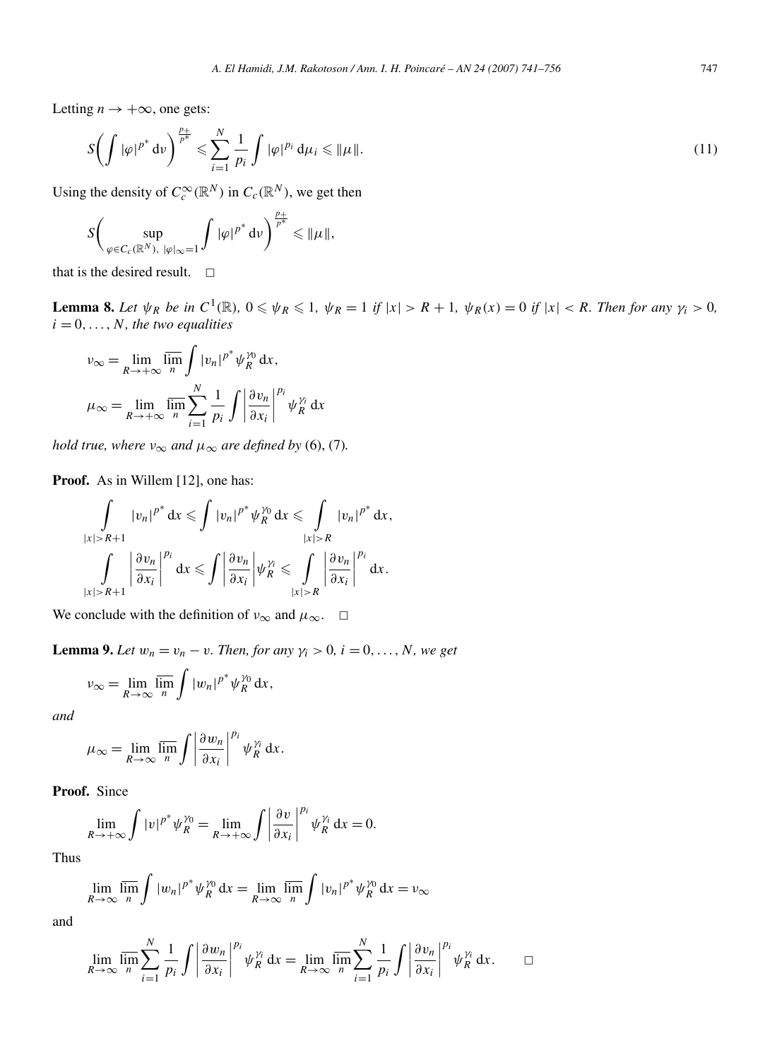Letting  $n \rightarrow +\infty$ , one gets:

$$
S\biggl(\int |\varphi|^{p^*} \mathrm{d}\nu\biggr)^{\frac{p_+}{p^*}} \leqslant \sum_{i=1}^N \frac{1}{p_i} \int |\varphi|^{p_i} \mathrm{d}\mu_i \leqslant \|\mu\|.\tag{11}
$$

Using the density of  $C_c^{\infty}(\mathbb{R}^N)$  in  $C_c(\mathbb{R}^N)$ , we get then

$$
S\bigg(\sup_{\varphi\in C_c(\mathbb{R}^N),\ |\varphi|\infty=1}\int |\varphi|^{p^*}\mathrm{d}\nu\bigg)^{\frac{p_+}{p^*}}\leqslant \|\mu\|,
$$

that is the desired result.  $\Box$ 

**Lemma 8.** Let  $\psi_R$  be in  $C^1(\mathbb{R})$ ,  $0 \le \psi_R \le 1$ ,  $\psi_R = 1$  if  $|x| > R + 1$ ,  $\psi_R(x) = 0$  if  $|x| < R$ . Then for any  $\gamma_i > 0$ ,  $i = 0, \ldots, N$ *, the two equalities* 

$$
\nu_{\infty} = \lim_{R \to +\infty} \overline{\lim}_{n} \int |v_{n}|^{p^{*}} \psi_{R}^{\gamma_{0}} dx,
$$
  

$$
\mu_{\infty} = \lim_{R \to +\infty} \overline{\lim}_{n} \sum_{i=1}^{N} \frac{1}{p_{i}} \int \left| \frac{\partial v_{n}}{\partial x_{i}} \right|^{p_{i}} \psi_{R}^{\gamma_{i}} dx
$$

*hold true, where*  $v_{\infty}$  *and*  $\mu_{\infty}$  *are defined by* (6), (7)*.* 

**Proof.** As in Willem [12], one has:

$$
\int_{|x|>R+1} |v_n|^{p^*} dx \leq \int |v_n|^{p^*} \psi_R^{\gamma_0} dx \leq \int_{|x|>R} |v_n|^{p^*} dx,
$$
  

$$
\int_{|x|>R+1} \left| \frac{\partial v_n}{\partial x_i} \right|^{p_i} dx \leq \int_{\partial x_i} \left| \frac{\partial v_n}{\partial x_i} \right| \psi_R^{\gamma_i} \leq \int_{|x|>R} \left| \frac{\partial v_n}{\partial x_i} \right|^{p_i} dx.
$$

We conclude with the definition of  $v_{\infty}$  and  $\mu_{\infty}$ .  $\Box$ 

**Lemma 9.** *Let*  $w_n = v_n - v$ *. Then, for any*  $\gamma_i > 0$ *, i* = 0*,..., N, we get* 

$$
v_{\infty} = \lim_{R \to \infty} \overline{\lim_{n}} \int |w_n|^{p^*} \psi_R^{\gamma_0} dx,
$$

*and*

$$
\mu_{\infty} = \lim_{R \to \infty} \overline{\lim_{n}} \int \left| \frac{\partial w_{n}}{\partial x_{i}} \right|^{p_{i}} \psi_{R}^{\gamma_{i}} dx.
$$

**Proof.** Since

$$
\lim_{R \to +\infty} \int |v|^{p^*} \psi_R^{\gamma_0} = \lim_{R \to +\infty} \int \left| \frac{\partial v}{\partial x_i} \right|^{p_i} \psi_R^{\gamma_i} dx = 0.
$$

Thus

$$
\lim_{R \to \infty} \overline{\lim_{n}} \int |w_n|^{p^*} \psi_R^{\gamma_0} dx = \lim_{R \to \infty} \overline{\lim_{n}} \int |v_n|^{p^*} \psi_R^{\gamma_0} dx = v_{\infty}
$$

and

$$
\lim_{R \to \infty} \overline{\lim_{n}} \sum_{i=1}^{N} \frac{1}{p_i} \int \left| \frac{\partial w_n}{\partial x_i} \right|^{p_i} \psi_R^{\gamma_i} dx = \lim_{R \to \infty} \overline{\lim_{n}} \sum_{i=1}^{N} \frac{1}{p_i} \int \left| \frac{\partial v_n}{\partial x_i} \right|^{p_i} \psi_R^{\gamma_i} dx. \qquad \Box
$$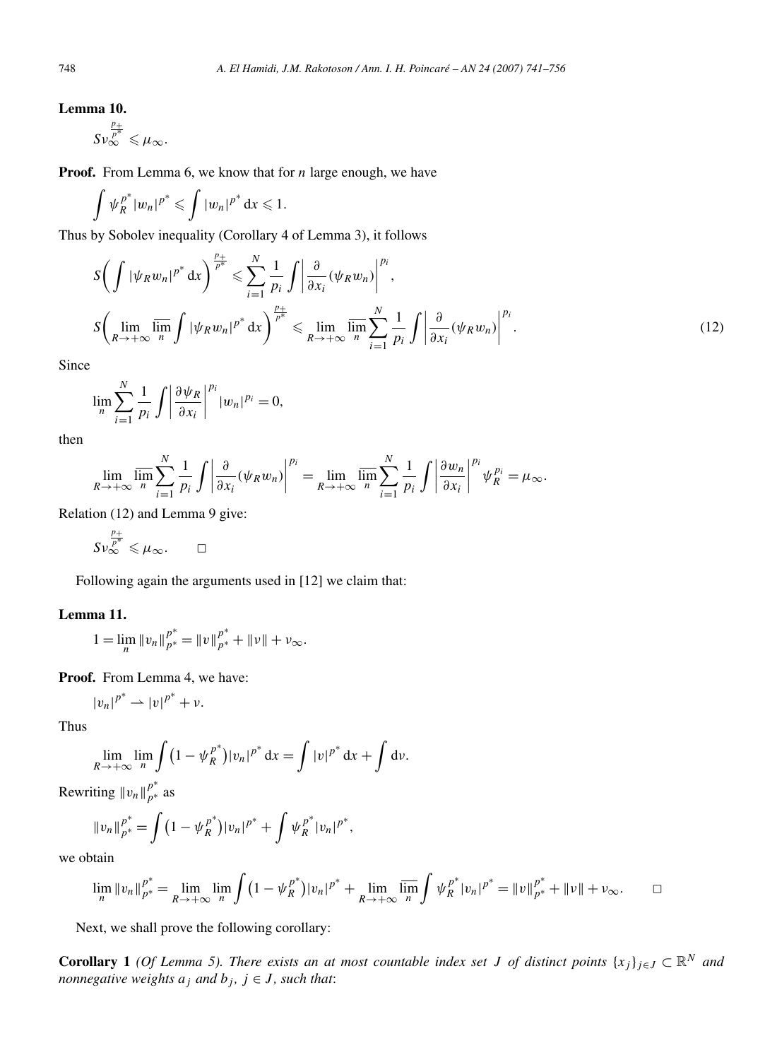### **Lemma 10.**

*Sν*  $\frac{p_+}{p^*}$   $\ll \mu_\infty$ .

**Proof.** From Lemma 6, we know that for *n* large enough, we have

$$
\int \psi_R^{p^*}|w_n|^{p^*} \leqslant \int |w_n|^{p^*} \, \mathrm{d} x \leqslant 1.
$$

Thus by Sobolev inequality (Corollary 4 of Lemma 3), it follows

$$
S\bigg(\int |\psi_R w_n|^{p^*} dx\bigg)^{\frac{p_+}{p^*}} \leq \sum_{i=1}^N \frac{1}{p_i} \int \left|\frac{\partial}{\partial x_i}(\psi_R w_n)\right|^{p_i},
$$
  

$$
S\bigg(\lim_{R\to+\infty} \overline{\lim_{n}} \int |\psi_R w_n|^{p^*} dx\bigg)^{\frac{p_+}{p^*}} \leq \lim_{R\to+\infty} \overline{\lim_{n}} \sum_{i=1}^N \frac{1}{p_i} \int \left|\frac{\partial}{\partial x_i}(\psi_R w_n)\right|^{p_i}.
$$
 (12)

Since

$$
\lim_{n}\sum_{i=1}^{N}\frac{1}{p_{i}}\int\left|\frac{\partial\psi_{R}}{\partial x_{i}}\right|^{p_{i}}|w_{n}|^{p_{i}}=0,
$$

then

$$
\lim_{R\to+\infty}\overline{\lim_{n}}\sum_{i=1}^{N}\frac{1}{p_{i}}\int\left|\frac{\partial}{\partial x_{i}}(\psi_{R}w_{n})\right|^{p_{i}}=\lim_{R\to+\infty}\overline{\lim_{n}}\sum_{i=1}^{N}\frac{1}{p_{i}}\int\left|\frac{\partial w_{n}}{\partial x_{i}}\right|^{p_{i}}\psi_{R}^{p_{i}}=\mu_{\infty}.
$$

Relation (12) and Lemma 9 give:

$$
S\nu_\infty^{\frac{p_+}{p^*}}\leqslant\mu_\infty.\qquad\square
$$

Following again the arguments used in [12] we claim that:

#### **Lemma 11.**

$$
1 = \lim_{n} ||v_{n}||_{p^{*}}^{p^{*}} = ||v||_{p^{*}}^{p^{*}} + ||v|| + v_{\infty}.
$$

**Proof.** From Lemma 4, we have:

$$
|v_n|^{p^*}\rightharpoonup |v|^{p^*}+\nu.
$$

Thus

$$
\lim_{R\to+\infty}\lim_{n}\int_{0}^{1}(1-\psi_R^{p^*})|v_n|^{p^*}\,\mathrm{d}x=\int|v|^{p^*}\,\mathrm{d}x+\int\mathrm{d}v.
$$

Rewriting  $||v_n||_{p^*}^{p^*}$  as

$$
||v_n||_{p^*}^{p^*} = \int (1 - \psi_R^{p^*}) |v_n|^{p^*} + \int \psi_R^{p^*} |v_n|^{p^*},
$$

we obtain

$$
\lim_{n} \|v_{n}\|_{p^{*}}^{p^{*}} = \lim_{R \to +\infty} \lim_{n} \int (1 - \psi_{R}^{p^{*}})|v_{n}|^{p^{*}} + \lim_{R \to +\infty} \overline{\lim_{n}} \int \psi_{R}^{p^{*}}|v_{n}|^{p^{*}} = \|v\|_{p^{*}}^{p^{*}} + \|v\| + v_{\infty}.
$$

Next, we shall prove the following corollary:

**Corollary 1** *(Of Lemma 5). There exists an at most countable index set <i>J of distinct points*  $\{x_j\}_{j\in J} \subset \mathbb{R}^N$  *and nonnegative weights*  $a_j$  *and*  $b_j$ ,  $j \in J$ , *such that*: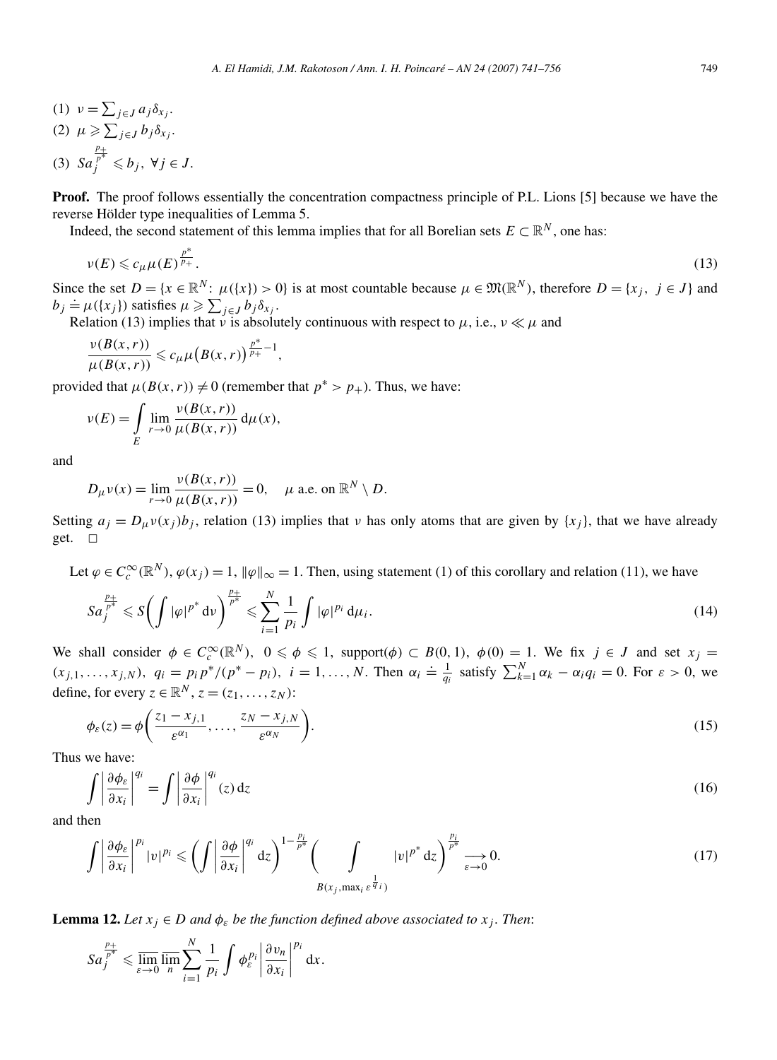- (1)  $v = \sum_{j \in J} a_j \delta_{x_j}$ .
- $(2)$   $\mu \geqslant \sum_{j\in J} b_j \delta_{x_j}$ . (3) *Sa*  $\frac{p_+}{p^*} \leqslant b_j$ ,  $\forall j \in J$ .

**Proof.** The proof follows essentially the concentration compactness principle of P.L. Lions [5] because we have the reverse Hölder type inequalities of Lemma 5.

Indeed, the second statement of this lemma implies that for all Borelian sets  $E \subset \mathbb{R}^N$ , one has:

$$
\nu(E) \leqslant c_{\mu}\mu(E)^{\frac{p^*}{p_+}}.\tag{13}
$$

Since the set  $D = \{x \in \mathbb{R}^N : \mu(\{x\}) > 0\}$  is at most countable because  $\mu \in \mathfrak{M}(\mathbb{R}^N)$ , therefore  $D = \{x_i, j \in J\}$  and  $b_j \doteq \mu(\lbrace x_j \rbrace)$  satisfies  $\mu \geqslant \sum_{j \in J} b_j \delta_{x_j}$ .

Relation (13) implies that *ν* is absolutely continuous with respect to  $\mu$ , i.e.,  $\nu \ll \mu$  and

$$
\frac{\nu(B(x,r))}{\mu(B(x,r))}\leqslant c_{\mu}\mu\big(B(x,r)\big)^{\frac{p^*}{p_+}-1},
$$

provided that  $\mu(B(x, r)) \neq 0$  (remember that  $p^* > p_+$ ). Thus, we have:

$$
\nu(E) = \int\limits_{E} \lim_{r \to 0} \frac{\nu(B(x, r))}{\mu(B(x, r))} d\mu(x),
$$

and

$$
D_{\mu}\nu(x) = \lim_{r \to 0} \frac{\nu(B(x, r))}{\mu(B(x, r))} = 0, \quad \mu \text{ a.e. on } \mathbb{R}^N \setminus D.
$$

Setting  $a_j = D_\mu v(x_j) b_j$ , relation (13) implies that *v* has only atoms that are given by  $\{x_j\}$ , that we have already get.  $\square$ 

Let  $\varphi \in C_c^{\infty}(\mathbb{R}^N)$ ,  $\varphi(x_j) = 1$ ,  $\|\varphi\|_{\infty} = 1$ . Then, using statement (1) of this corollary and relation (11), we have

$$
Sa_j^{\frac{p_+}{p^*}} \leqslant S\bigg(\int |\varphi|^{p^*} \, \mathrm{d}\nu\bigg)^{\frac{p_+}{p^*}} \leqslant \sum_{i=1}^N \frac{1}{p_i} \int |\varphi|^{p_i} \, \mathrm{d}\mu_i \,.
$$

We shall consider  $\phi \in C_c^{\infty}(\mathbb{R}^N)$ ,  $0 \le \phi \le 1$ , support $(\phi) \subset B(0, 1)$ ,  $\phi(0) = 1$ . We fix  $j \in J$  and set  $x_j =$  $(x_{j,1},...,x_{j,N})$ ,  $q_i = p_i p^*/(p^* - p_i)$ ,  $i = 1,...,N$ . Then  $\alpha_i \doteq \frac{1}{q_i}$  satisfy  $\sum_{k=1}^{N} \alpha_k - \alpha_i q_i = 0$ . For  $\varepsilon > 0$ , we define, for every  $z \in \mathbb{R}^N$ ,  $z = (z_1, \ldots, z_N)$ :

$$
\phi_{\varepsilon}(z) = \phi\left(\frac{z_1 - x_{j,1}}{\varepsilon^{\alpha_1}}, \dots, \frac{z_N - x_{j,N}}{\varepsilon^{\alpha_N}}\right). \tag{15}
$$

Thus we have:

$$
\int \left| \frac{\partial \phi_{\varepsilon}}{\partial x_i} \right|^{q_i} = \int \left| \frac{\partial \phi}{\partial x_i} \right|^{q_i} (z) dz
$$
\n(16)

and then

$$
\int \left| \frac{\partial \phi_{\varepsilon}}{\partial x_i} \right|^{p_i} |v|^{p_i} \leqslant \left( \int \left| \frac{\partial \phi}{\partial x_i} \right|^{q_i} dz \right)^{1 - \frac{p_i}{p^*}} \left( \int_{B(x_j, \max_i \varepsilon^{\frac{1}{q_i}})} |v|^{p^*} dz \right)^{\frac{p_i}{p^*}} \xrightarrow[\varepsilon \to 0]{} 0. \tag{17}
$$

**Lemma 12.** *Let*  $x_j \in D$  *and*  $\phi_{\varepsilon}$  *be the function defined above associated to*  $x_j$ *. Then:* 

$$
Sa_j^{\frac{p_+}{p^*}} \leq \overline{\lim_{\varepsilon \to 0}} \overline{\lim_{n}} \sum_{i=1}^N \frac{1}{p_i} \int \phi_{\varepsilon}^{p_i} \left| \frac{\partial v_n}{\partial x_i} \right|^{p_i} dx.
$$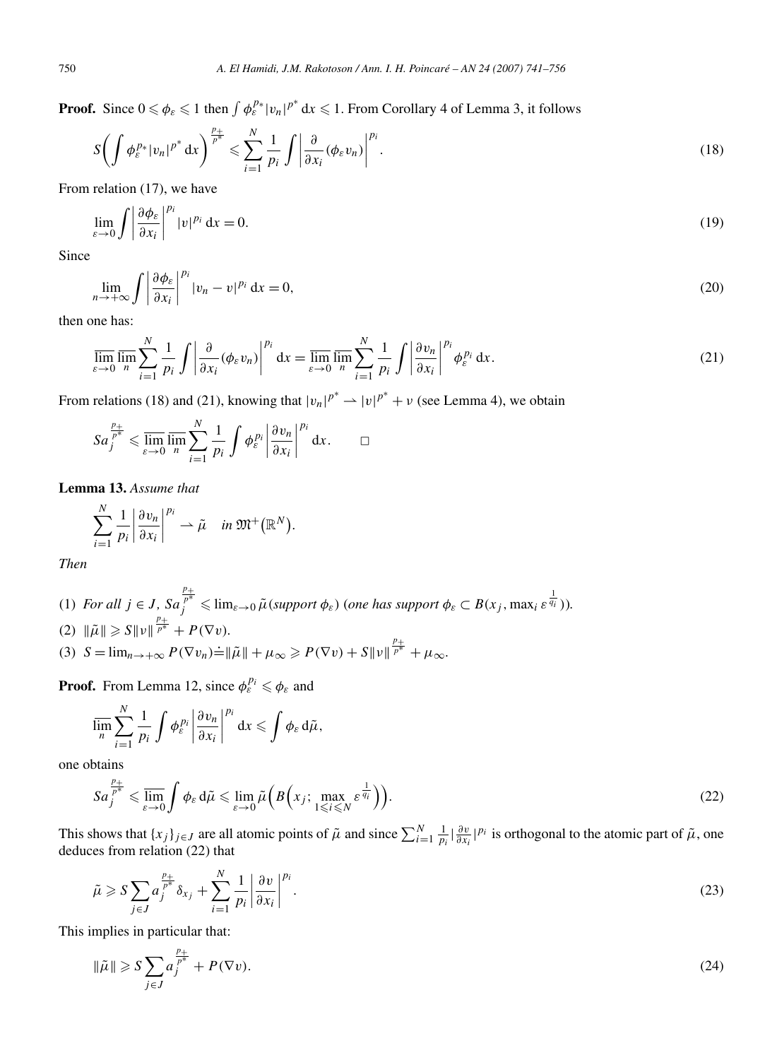**Proof.** Since  $0 \le \phi_{\varepsilon} \le 1$  then  $\int \phi_{\varepsilon}^{p_*} |v_n|^{p^*} dx \le 1$ . From Corollary 4 of Lemma 3, it follows

$$
S\bigg(\int \phi_{\varepsilon}^{p*}|v_n|^{p^*} \, \mathrm{d}x\bigg)^{\frac{p+1}{p^*}} \leq \sum_{i=1}^N \frac{1}{p_i} \int \left|\frac{\partial}{\partial x_i}(\phi_{\varepsilon}v_n)\right|^{p_i}.\tag{18}
$$

From relation (17), we have

$$
\lim_{\varepsilon \to 0} \int \left| \frac{\partial \phi_{\varepsilon}}{\partial x_i} \right|^{p_i} |v|^{p_i} dx = 0.
$$
\n(19)

Since

$$
\lim_{n \to +\infty} \int \left| \frac{\partial \phi_{\varepsilon}}{\partial x_i} \right|^{p_i} |v_n - v|^{p_i} dx = 0,
$$
\n(20)

then one has:

$$
\overline{\lim}_{\varepsilon \to 0} \overline{\lim}_{n} \sum_{i=1}^{N} \frac{1}{p_i} \int \left| \frac{\partial}{\partial x_i} (\phi_{\varepsilon} v_n) \right|^{p_i} dx = \overline{\lim}_{\varepsilon \to 0} \overline{\lim}_{n} \sum_{i=1}^{N} \frac{1}{p_i} \int \left| \frac{\partial v_n}{\partial x_i} \right|^{p_i} \phi_{\varepsilon}^{p_i} dx.
$$
\n(21)

From relations (18) and (21), knowing that  $|v_n|^{p^*} \to |v|^{p^*} + v$  (see Lemma 4), we obtain

$$
Sa_j^{\frac{p_+}{p^*}} \leqslant \overline{\lim_{\varepsilon \to 0}} \overline{\lim_{n}} \sum_{i=1}^N \frac{1}{p_i} \int \phi_{\varepsilon}^{p_i} \left| \frac{\partial v_n}{\partial x_i} \right|^{p_i} dx. \qquad \Box
$$

**Lemma 13.** *Assume that*

$$
\sum_{i=1}^N \frac{1}{p_i} \left| \frac{\partial v_n}{\partial x_i} \right|^{p_i} \to \tilde{\mu} \quad \text{in } \mathfrak{M}^+(\mathbb{R}^N).
$$

*Then*

\n- (1) For all 
$$
j \in J
$$
,  $Sa_j^{\frac{p_+}{p^*}} \leq \lim_{\varepsilon \to 0} \tilde{\mu}(\text{support } \phi_{\varepsilon})$  (one has support  $\phi_{\varepsilon} \subset B(x_j, \max_i \varepsilon^{\frac{1}{q_i}})$ ).
\n- (2)  $\|\tilde{\mu}\| \geq S \|v\|^{\frac{p_+}{p^*}} + P(\nabla v).$
\n- (3)  $S = \lim_{n \to +\infty} P(\nabla v_n) = \|\tilde{\mu}\| + \mu_\infty \geq P(\nabla v) + S \|v\|^{\frac{p_+}{p^*}} + \mu_\infty.$
\n

**Proof.** From Lemma 12, since  $\phi_{\varepsilon}^{p_i} \leq \phi_{\varepsilon}$  and

$$
\overline{\lim_n}\sum_{i=1}^N\frac{1}{p_i}\int\phi_{\varepsilon}^{p_i}\left|\frac{\partial v_n}{\partial x_i}\right|^{p_i}\mathrm{d} x\leqslant\int\phi_{\varepsilon}\,\mathrm{d}\tilde{\mu},
$$

one obtains

$$
Sa_j^{\frac{p_+}{p^*}} \leq \overline{\lim}_{\varepsilon \to 0} \int \phi_\varepsilon d\tilde{\mu} \leq \lim_{\varepsilon \to 0} \tilde{\mu}\Big(B\Big(x_j; \max_{1 \leq i \leq N} \varepsilon^{\frac{1}{q_i}}\Big)\Big).
$$
 (22)

This shows that  $\{x_j\}_{j\in J}$  are all atomic points of  $\tilde{\mu}$  and since  $\sum_{i=1}^N \frac{1}{p_i} \left| \frac{\partial v}{\partial x_i} \right|^{p_i}$  is orthogonal to the atomic part of  $\tilde{\mu}$ , one deduces from relation (22) that

$$
\tilde{\mu} \geqslant S \sum_{j \in J} a_j^{\frac{p+1}{p^*}} \delta_{x_j} + \sum_{i=1}^N \frac{1}{p_i} \left| \frac{\partial v}{\partial x_i} \right|^{p_i} . \tag{23}
$$

This implies in particular that:

$$
\|\tilde{\mu}\| \geqslant S \sum_{j \in J} a_j^{\frac{p_+}{p^*}} + P(\nabla v). \tag{24}
$$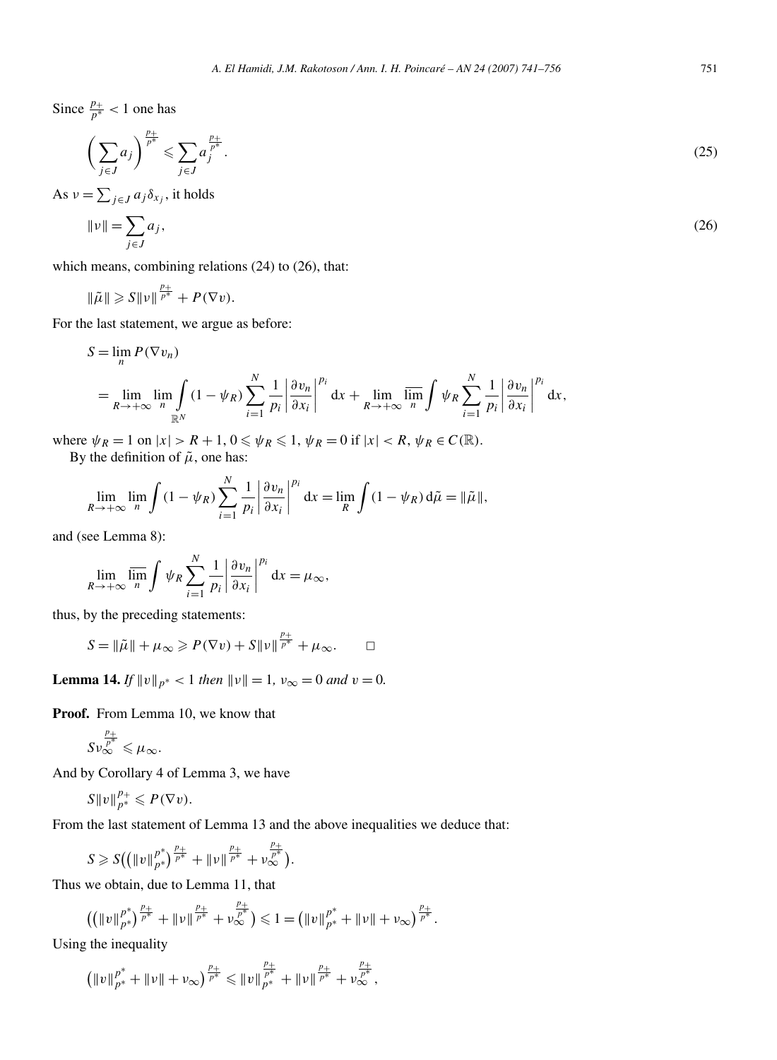*A. El Hamidi, J.M. Rakotoson / Ann. I. H. Poincaré – AN 24 (2007) 741–756* 751

Since  $\frac{p_+}{p^*}$  < 1 one has

$$
\left(\sum_{j\in J} a_j\right)^{\frac{p_+}{p^*}} \leqslant \sum_{j\in J} a_j^{\frac{p_+}{p^*}}.
$$
\n
$$
(25)
$$

As  $v = \sum_{j \in J} a_j \delta_{x_j}$ , it holds

$$
\|\nu\| = \sum_{j \in J} a_j,\tag{26}
$$

which means, combining relations (24) to (26), that:

$$
\|\tilde{\mu}\| \geqslant S \|v\|^{\frac{p_+}{p^*}} + P(\nabla v).
$$

For the last statement, we argue as before:

$$
S = \lim_{n} P(\nabla v_n)
$$
  
= 
$$
\lim_{R \to +\infty} \lim_{n} \int_{\mathbb{R}^N} (1 - \psi_R) \sum_{i=1}^N \frac{1}{p_i} \left| \frac{\partial v_n}{\partial x_i} \right|^{p_i} dx + \lim_{R \to +\infty} \overline{\lim_{n} \int_{\mathbb{R}^N} \psi_R \sum_{i=1}^N \frac{1}{p_i} \left| \frac{\partial v_n}{\partial x_i} \right|^{p_i} dx},
$$

where  $\psi_R = 1$  on  $|x| > R + 1$ ,  $0 \le \psi_R \le 1$ ,  $\psi_R = 0$  if  $|x| < R$ ,  $\psi_R \in C(\mathbb{R})$ . By the definition of  $\tilde{\mu}$ , one has:

$$
\lim_{R \to +\infty} \lim_{n} \int (1 - \psi_R) \sum_{i=1}^{N} \frac{1}{p_i} \left| \frac{\partial v_n}{\partial x_i} \right|^{p_i} dx = \lim_{R} \int (1 - \psi_R) d\tilde{\mu} = ||\tilde{\mu}||,
$$

and (see Lemma 8):

$$
\lim_{R \to +\infty} \overline{\lim_{n}} \int \psi_R \sum_{i=1}^N \frac{1}{p_i} \left| \frac{\partial v_n}{\partial x_i} \right|^{p_i} dx = \mu_\infty,
$$

thus, by the preceding statements:

$$
S = \|\tilde{\mu}\| + \mu_{\infty} \geqslant P(\nabla v) + S \|v\|^{\frac{p_+}{p^*}} + \mu_{\infty}.\qquad \Box
$$

**Lemma 14.** *If*  $||v||_{p^*} < 1$  *then*  $||v|| = 1$ *,*  $v_{\infty} = 0$  *and*  $v = 0$ *.* 

**Proof.** From Lemma 10, we know that

$$
S\nu_\infty^{\frac{p_+}{p^*}}\leqslant\mu_\infty.
$$

And by Corollary 4 of Lemma 3, we have

$$
S||v||_{p^*}^{p_+} \leqslant P(\nabla v).
$$

From the last statement of Lemma 13 and the above inequalities we deduce that:

$$
S \geqslant S((\|v\|_{p^*}^{p^*})^{\frac{p_+}{p^*}} + \|\nu\|^{\frac{p_+}{p^*}} + \nu_{\infty}^{\frac{p_+}{p^*}}).
$$

Thus we obtain, due to Lemma 11, that

$$
\left( \left( \|v\|_{p^*}^{p^*}\right)^{\frac{p_+}{p^*}} + \|v\|_{p^*}^{\frac{p_+}{p^*}} + \nu_\infty^{\frac{p_+}{p^*}} \right) \leqslant 1 = \left( \|v\|_{p^*}^{p^*} + \|v\| + \nu_\infty \right)^{\frac{p_+}{p^*}}.
$$

Using the inequality

$$
\left(\|v\|_{p^*}^{p^*} + \|v\| + \nu_\infty\right)^{\frac{p_+}{p^*}} \leq \|v\|_{p^*}^{\frac{p_+}{p^*}} + \|\nu\|^\frac{p_+}{p^*} + \nu_\infty^{\frac{p_+}{p^*}},
$$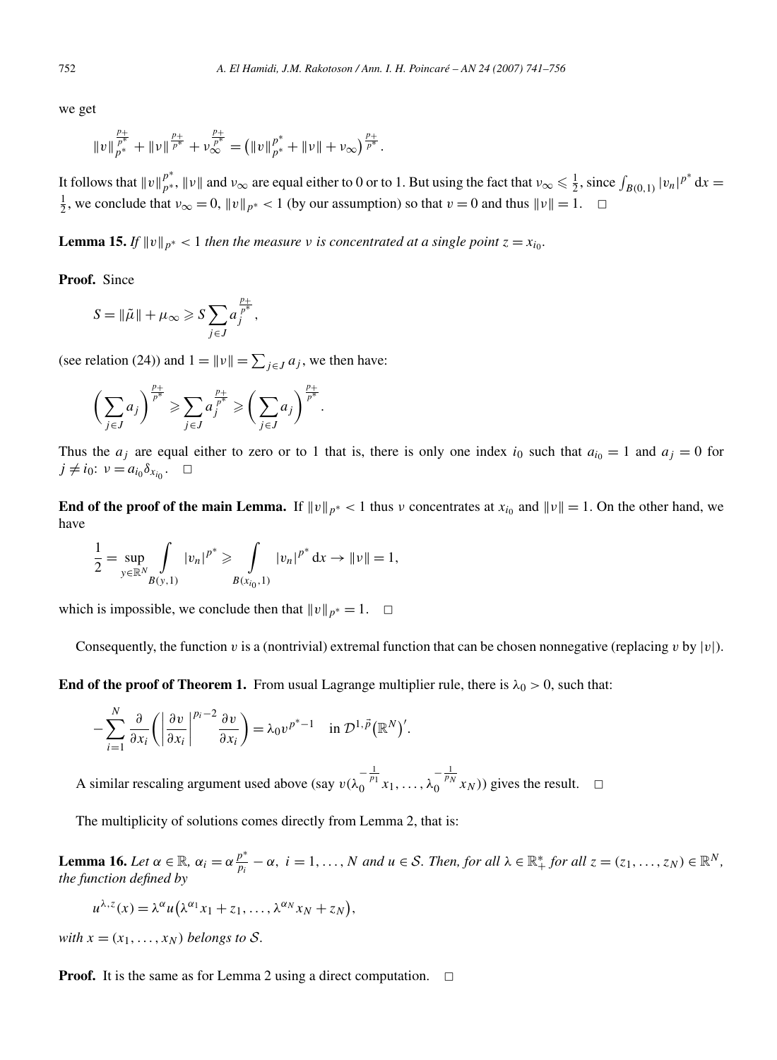we get

$$
||v||_{p^*}^{\frac{p_+}{p^*}}+||v||_{p^*}^{\frac{p_+}{p^*}}+v_\infty^{\frac{p_+}{p^*}}=\big(||v||_{p^*}^{p^*}+||v||+v_\infty\big)^{\frac{p_+}{p^*}}.
$$

It follows that  $||v||_{p^{*}}^{p^{*}}$ ,  $||v||$  and  $v_{\infty}$  are equal either to 0 or to 1. But using the fact that  $v_{\infty} \le \frac{1}{2}$ , since  $\int_{B(0,1)} |v_{n}|^{p^{*}} dx =$  $\frac{1}{2}$ , we conclude that  $v_{\infty} = 0$ ,  $\|v\|_{p^*} < 1$  (by our assumption) so that  $v = 0$  and thus  $\|v\| = 1$ .  $\Box$ 

**Lemma 15.** *If*  $||v||_{p^*} < 1$  *then the measure v is concentrated at a single point*  $z = x_{i_0}$ *.* 

**Proof.** Since

$$
S = \|\tilde{\mu}\| + \mu_{\infty} \ge S \sum_{j \in J} a_j^{\frac{p_+}{p^*}},
$$

(see relation (24)) and  $1 = ||v|| = \sum_{j \in J} a_j$ , we then have:

$$
\left(\sum_{j\in J}a_j\right)^{\frac{p_+}{p^*}}\geqslant \sum_{j\in J}a_j^{\frac{p_+}{p^*}}\geqslant \left(\sum_{j\in J}a_j\right)^{\frac{p_+}{p^*}}.
$$

Thus the  $a_j$  are equal either to zero or to 1 that is, there is only one index  $i_0$  such that  $a_{i_0} = 1$  and  $a_j = 0$  for  $j \neq i_0$ :  $\nu = a_{i_0} \delta_{x_{i_0}}$ .  $\Box$ 

**End of the proof of the main Lemma.** If  $\|v\|_{p^*} < 1$  thus *v* concentrates at  $x_{i_0}$  and  $\|v\| = 1$ . On the other hand, we have

$$
\frac{1}{2} = \sup_{y \in \mathbb{R}^N} \int_{B(y,1)} |v_n|^{p^*} \ge \int_{B(x_{i_0},1)} |v_n|^{p^*} dx \to ||v|| = 1,
$$

which is impossible, we conclude then that  $\|v\|_{p^*} = 1$ .  $\Box$ 

Consequently, the function *v* is a (nontrivial) extremal function that can be chosen nonnegative (replacing *v* by  $|v|$ ).

**End of the proof of Theorem 1.** From usual Lagrange multiplier rule, there is  $\lambda_0 > 0$ , such that:

$$
-\sum_{i=1}^N\frac{\partial}{\partial x_i}\bigg(\bigg|\frac{\partial v}{\partial x_i}\bigg|^{p_i-2}\frac{\partial v}{\partial x_i}\bigg)=\lambda_0v^{p^*-1}\quad\text{in }\mathcal{D}^{1,\vec{p}}(\mathbb{R}^N)'.
$$

A similar rescaling argument used above (say  $v(\lambda_0^{-\frac{1}{p_1}}x_1, ..., \lambda_0^{-\frac{1}{p_N}}x_N)$ ) gives the result. □

The multiplicity of solutions comes directly from Lemma 2, that is:

**Lemma 16.** Let  $\alpha \in \mathbb{R}$ ,  $\alpha_i = \alpha \frac{p^*}{p_i} - \alpha$ ,  $i = 1, ..., N$  and  $u \in S$ . Then, for all  $\lambda \in \mathbb{R}_+^*$  for all  $z = (z_1, ..., z_N) \in \mathbb{R}^N$ , *the function defined by*

$$
u^{\lambda,z}(x) = \lambda^{\alpha} u(\lambda^{\alpha_1} x_1 + z_1, \dots, \lambda^{\alpha_N} x_N + z_N),
$$

*with*  $x = (x_1, \ldots, x_N)$  *belongs to S.* 

**Proof.** It is the same as for Lemma 2 using a direct computation.  $\Box$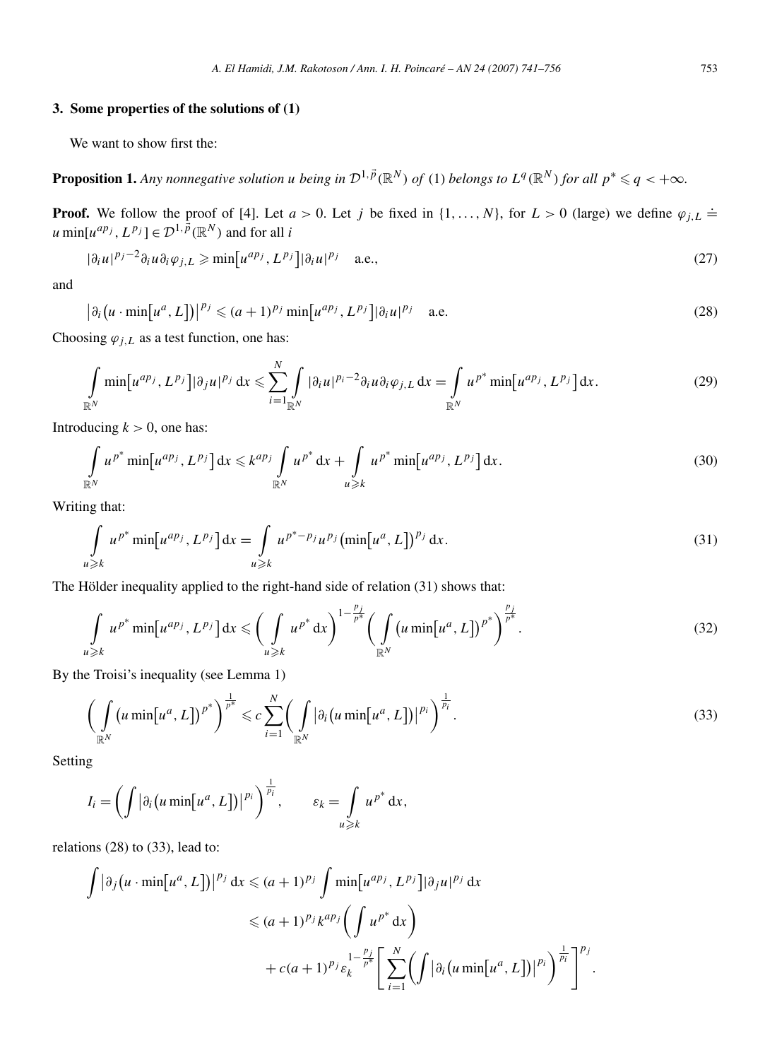#### **3. Some properties of the solutions of (1)**

We want to show first the:

**Proposition 1.** Any nonnegative solution u being in  $\mathcal{D}^{1, \vec{p}}(\mathbb{R}^N)$  of (1) belongs to  $L^q(\mathbb{R}^N)$  for all  $p^* \leq q < +\infty$ .

**Proof.** We follow the proof of [4]. Let  $a > 0$ . Let *j* be fixed in  $\{1, \ldots, N\}$ , for  $L > 0$  (large) we define  $\varphi_{j,L} \doteq$  $u \min[u^{ap_j}, L^{p_j}] \in \mathcal{D}^{1, p}(\mathbb{R}^N)$  and for all *i* 

$$
|\partial_i u|^{p_j - 2} \partial_i u \partial_i \varphi_{j,L} \ge \min \left[ u^{ap_j}, L^{p_j} \right] |\partial_i u|^{p_j} \quad \text{a.e.,}
$$
\n<sup>(27)</sup>

and

$$
\left|\partial_i\left(u\cdot\min\left[u^a,L\right]\right)\right|^{p_j}\leqslant (a+1)^{p_j}\min\left[u^{ap_j},L^{p_j}\right]\left|\partial_i u\right|^{p_j}\quad\text{a.e.}\tag{28}
$$

Choosing  $\varphi_{i,L}$  as a test function, one has:

$$
\int_{\mathbb{R}^N} \min[u^{ap_j}, L^{p_j}] |\partial_j u|^{p_j} dx \leq \sum_{i=1}^N \int_{\mathbb{R}^N} |\partial_i u|^{p_i-2} \partial_i u \partial_i \varphi_{j,L} dx = \int_{\mathbb{R}^N} u^{p^*} \min[u^{ap_j}, L^{p_j}] dx.
$$
 (29)

Introducing  $k > 0$ , one has:

$$
\int_{\mathbb{R}^N} u^{p^*} \min[u^{ap_j}, L^{p_j}] dx \leqslant k^{ap_j} \int_{\mathbb{R}^N} u^{p^*} dx + \int_{u \geqslant k} u^{p^*} \min[u^{ap_j}, L^{p_j}] dx.
$$
\n
$$
(30)
$$

Writing that:

$$
\int_{u \ge k} u^{p^*} \min[u^{ap_j}, L^{p_j}] dx = \int_{u \ge k} u^{p^* - p_j} u^{p_j} (\min[u^a, L])^{p_j} dx.
$$
\n(31)

The Hölder inequality applied to the right-hand side of relation (31) shows that:

$$
\int_{u\geqslant k} u^{p^*} \min[u^{ap_j}, L^{p_j}] dx \leqslant \bigg(\int_{u\geqslant k} u^{p^*} dx\bigg)^{1-\frac{p_j}{p^*}} \bigg(\int_{\mathbb{R}^N} (u \min[u^a, L])^{p^*}\bigg)^{\frac{p_j}{p^*}}.
$$
\n
$$
(32)
$$

By the Troisi's inequality (see Lemma 1)

$$
\left(\int\limits_{\mathbb{R}^N} \left(u\min\!\left[u^a,L\right]\right)^{p^*}\right)^{\frac{1}{p^*}} \leqslant c \sum_{i=1}^N \left(\int\limits_{\mathbb{R}^N} \left|\partial_i\left(u\min\!\left[u^a,L\right]\right)\right|^{p_i}\right)^{\frac{1}{p_i}}.
$$
\n(33)

Setting

$$
I_i = \left( \int |\partial_i \left( u \min[u^a, L] \right) \right)^{\frac{1}{p_i}}, \qquad \varepsilon_k = \int_{u \geq k} u^{p^*} dx,
$$

relations (28) to (33), lead to:

$$
\int \left| \partial_j (u \cdot \min[u^a, L]) \right|^{p_j} dx \leq (a+1)^{p_j} \int \min[u^{ap_j}, L^{p_j}] \left| \partial_j u \right|^{p_j} dx
$$
  

$$
\leq (a+1)^{p_j} k^{ap_j} \left( \int u^{p^*} dx \right)
$$
  

$$
+ c(a+1)^{p_j} \varepsilon_k^{\frac{1-\frac{p_j}{p^*}}{\frac{p_j}{p^*}}} \left[ \sum_{i=1}^N \left( \int \left| \partial_i \left( u \min[u^a, L] \right) \right|^{p_i} \right)^{\frac{1}{p_i}} \right]^{p_j}.
$$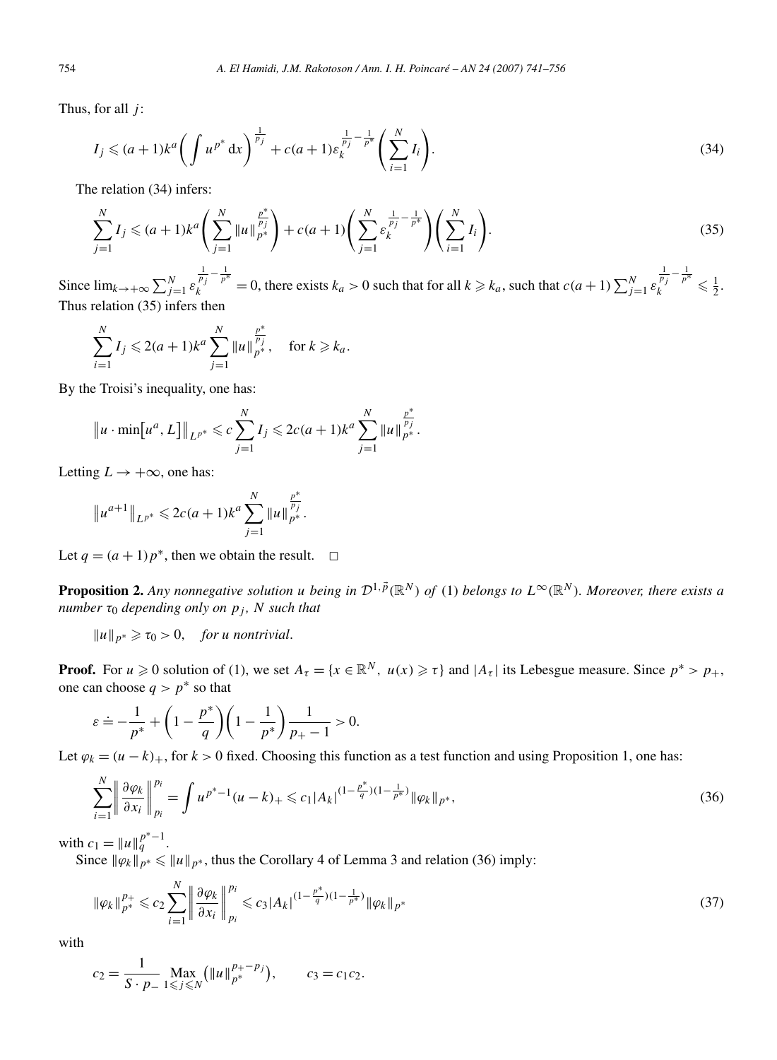Thus, for all *j* :

$$
I_j \leq (a+1)k^a \left( \int u^{p^*} dx \right)^{\frac{1}{p_j}} + c(a+1)\varepsilon_k^{\frac{1}{p_j} - \frac{1}{p^*}} \left( \sum_{i=1}^N I_i \right). \tag{34}
$$

The relation (34) infers:

$$
\sum_{j=1}^{N} I_j \leq (a+1)k^a \left( \sum_{j=1}^{N} \|u\|_{p^*}^{\frac{p^*}{p_j}} \right) + c(a+1) \left( \sum_{j=1}^{N} \varepsilon_k^{\frac{1}{p_j} - \frac{1}{p^*}} \right) \left( \sum_{i=1}^{N} I_i \right). \tag{35}
$$

Since  $\lim_{k \to +\infty} \sum_{j=1}^{N} \varepsilon$  $\frac{1}{p_j} - \frac{1}{p^*} = 0$ , there exists  $k_a > 0$  such that for all  $k \ge k_a$ , such that  $c(a + 1) \sum_{j=1}^N \varepsilon_j$  $\frac{1}{p_j} - \frac{1}{p^*} \leq \frac{1}{2}.$ Thus relation (35) infers then

$$
\sum_{i=1}^{N} I_j \leq 2(a+1)k^a \sum_{j=1}^{N} ||u||_{p^*}^{\frac{p^*}{p_j}}, \quad \text{for } k \geq k_a.
$$

By the Troisi's inequality, one has:

$$
||u \cdot \min[u^a, L]||_{L^{p^*}} \leq c \sum_{j=1}^N I_j \leq 2c(a+1)k^a \sum_{j=1}^N ||u||_{p^*}^{\frac{p^*}{p_j}}.
$$

Letting  $L \rightarrow +\infty$ , one has:

$$
||u^{a+1}||_{L^{p^*}} \leq 2c(a+1)k^a \sum_{j=1}^N ||u||_{p^*}^{\frac{p^*}{p_j}}.
$$

Let  $q = (a + 1)p^*$ , then we obtain the result.  $\Box$ 

**Proposition 2.** Any nonnegative solution *u* being in  $\mathcal{D}^{1,\vec{p}}(\mathbb{R}^N)$  of (1) belongs to  $L^{\infty}(\mathbb{R}^N)$ . Moreover, there exists a *number*  $\tau_0$  *depending only on*  $p_j$ *, N such that* 

 $||u||_{p^*} \geq \tau_0 > 0$ , *for u nontrivial.* 

**Proof.** For  $u \ge 0$  solution of (1), we set  $A_{\tau} = \{x \in \mathbb{R}^N, u(x) \ge \tau\}$  and  $|A_{\tau}|$  its Lebesgue measure. Since  $p^* > p_+$ , one can choose  $q > p^*$  so that

$$
\varepsilon \doteq -\frac{1}{p^*} + \left(1 - \frac{p^*}{q}\right)\left(1 - \frac{1}{p^*}\right)\frac{1}{p_+ - 1} > 0.
$$

Let  $\varphi_k = (u - k)_+$ , for  $k > 0$  fixed. Choosing this function as a test function and using Proposition 1, one has:

$$
\sum_{i=1}^{N} \left\| \frac{\partial \varphi_k}{\partial x_i} \right\|_{p_i}^{p_i} = \int u^{p^*-1} (u-k)_+ \leqslant c_1 |A_k|^{(1-\frac{p^*}{q})(1-\frac{1}{p^*})} \|\varphi_k\|_{p^*},\tag{36}
$$

with  $c_1 = ||u||_q^{p^*-1}$ .

Since  $\|\varphi_k\|_{p^*} \leq \|u\|_{p^*}$ , thus the Corollary 4 of Lemma 3 and relation (36) imply:

$$
\|\varphi_k\|_{p^*}^{p_+} \leqslant c_2 \sum_{i=1}^N \left\|\frac{\partial \varphi_k}{\partial x_i}\right\|_{p_i}^{p_i} \leqslant c_3 |A_k|^{(1-\frac{p^*}{q})(1-\frac{1}{p^*})} \|\varphi_k\|_{p^*}
$$
\n
$$
(37)
$$

with

$$
c_2 = \frac{1}{S \cdot p_-} \max_{1 \leq j \leq N} (\|u\|_{p^*}^{p_+-p_j}), \qquad c_3 = c_1 c_2.
$$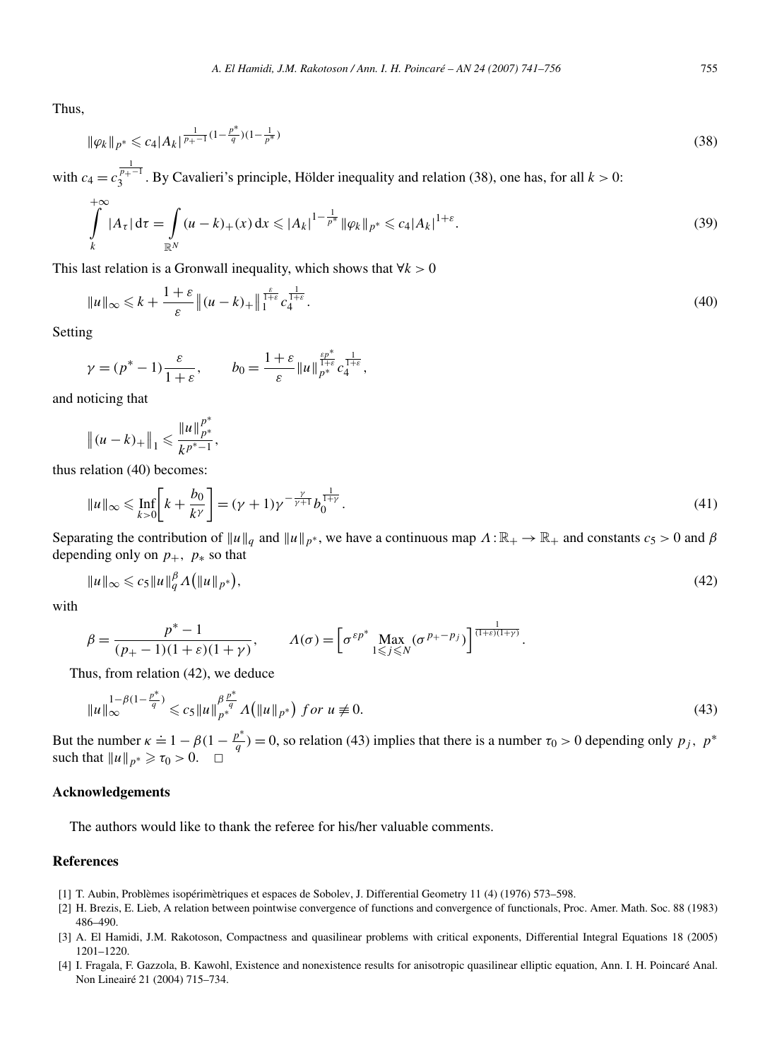Thus,

$$
\|\varphi_k\|_{p^*} \leqslant c_4 |A_k|^{\frac{1}{p_+-1}(1-\frac{p^*}{q})(1-\frac{1}{p^*})}
$$
\n(38)

with  $c_4 = c_3^{\frac{1}{p_+ - 1}}$  $3^{p_+ - 1}$ . By Cavalieri's principle, Hölder inequality and relation (38), one has, for all  $k > 0$ :

$$
\int_{k}^{+\infty} |A_{\tau}| d\tau = \int_{\mathbb{R}^{N}} (u - k)_{+}(x) dx \leq |A_{k}|^{1 - \frac{1}{p^{*}}} \|\varphi_{k}\|_{p^{*}} \leq c_{4} |A_{k}|^{1 + \varepsilon}.
$$
\n(39)

This last relation is a Gronwall inequality, which shows that ∀*k >* 0

$$
\|u\|_{\infty} \le k + \frac{1+\varepsilon}{\varepsilon} \|(u-k)_{+}\|_{1}^{\frac{\varepsilon}{1+\varepsilon}} c_4^{\frac{1}{1+\varepsilon}}.
$$
\n(40)

Setting

$$
\gamma = (p^* - 1)\frac{\varepsilon}{1 + \varepsilon}, \qquad b_0 = \frac{1 + \varepsilon}{\varepsilon} \|u\|_{p^*}^{\frac{\varepsilon p^*}{1 + \varepsilon}} c_{4}^{\frac{1}{1 + \varepsilon}},
$$

and noticing that

$$
|| (u - k)_{+} ||_1 \leqslant \frac{||u||_{p^*}^{p^*}}{k^{p^*-1}},
$$

thus relation (40) becomes:

$$
\|u\|_{\infty} \le \inf_{k>0} \left[k + \frac{b_0}{k^{\gamma}}\right] = (\gamma + 1)\gamma^{-\frac{\gamma}{\gamma+1}} b_0^{\frac{1}{1+\gamma}}.
$$
\n(41)

Separating the contribution of  $||u||_q$  and  $||u||_{p^*}$ , we have a continuous map  $\Lambda : \mathbb{R}_+ \to \mathbb{R}_+$  and constants  $c_5 > 0$  and  $\beta$ depending only on  $p_+$ *,*  $p_*$  so that

$$
||u||_{\infty} \leq c_5 ||u||_q^{\beta} \Lambda (||u||_{p^*}),
$$
\n(42)

with

$$
\beta = \frac{p^* - 1}{(p_+ - 1)(1 + \varepsilon)(1 + \gamma)}, \qquad \Lambda(\sigma) = \left[\sigma^{\varepsilon p^*} \max_{1 \leq j \leq N} (\sigma^{p_+ - p_j})\right]^{\frac{1}{(1 + \varepsilon)(1 + \gamma)}}.
$$

Thus, from relation (42), we deduce

$$
||u||_{\infty}^{1-\beta(1-\frac{p^*}{q})} \leqslant c_5 ||u||_{p^*}^{\beta \frac{p^*}{q}} \Lambda \big( ||u||_{p^*} \big) \text{ for } u \neq 0. \tag{43}
$$

But the number  $\kappa \doteq 1 - \beta(1 - \frac{p^*}{q}) = 0$ , so relation (43) implies that there is a number  $\tau_0 > 0$  depending only  $p_j$ ,  $p^*$ such that  $||u||_{p^*} \ge \tau_0 > 0$ .  $\Box$ 

#### **Acknowledgements**

The authors would like to thank the referee for his/her valuable comments.

#### **References**

- [1] T. Aubin, Problèmes isopérimètriques et espaces de Sobolev, J. Differential Geometry 11 (4) (1976) 573–598.
- [2] H. Brezis, E. Lieb, A relation between pointwise convergence of functions and convergence of functionals, Proc. Amer. Math. Soc. 88 (1983) 486–490.
- [3] A. El Hamidi, J.M. Rakotoson, Compactness and quasilinear problems with critical exponents, Differential Integral Equations 18 (2005) 1201–1220.
- [4] I. Fragala, F. Gazzola, B. Kawohl, Existence and nonexistence results for anisotropic quasilinear elliptic equation, Ann. I. H. Poincaré Anal. Non Lineairé 21 (2004) 715–734.